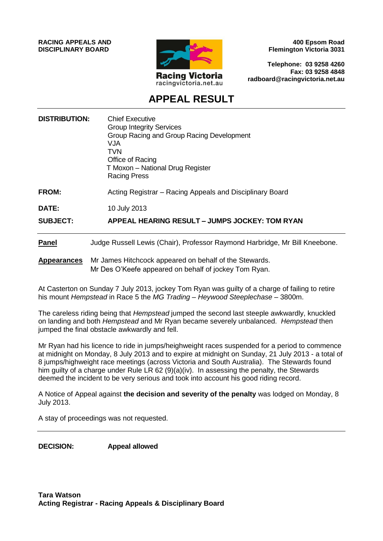**RACING APPEALS AND DISCIPLINARY BOARD**



**400 Epsom Road Flemington Victoria 3031**

**Telephone: 03 9258 4260 Fax: 03 9258 4848 radboard@racingvictoria.net.au**

# **APPEAL RESULT**

| <b>DISTRIBUTION:</b>     | <b>Chief Executive</b><br><b>Group Integrity Services</b><br>Group Racing and Group Racing Development<br>VJA.<br><b>TVN</b><br>Office of Racing<br>T Moxon - National Drug Register<br><b>Racing Press</b> |
|--------------------------|-------------------------------------------------------------------------------------------------------------------------------------------------------------------------------------------------------------|
| <b>FROM:</b>             | Acting Registrar – Racing Appeals and Disciplinary Board                                                                                                                                                    |
| DATE:<br><b>SUBJECT:</b> | 10 July 2013<br>APPEAL HEARING RESULT - JUMPS JOCKEY: TOM RYAN                                                                                                                                              |
| <b>Panel</b>             | Judge Russell Lewis (Chair), Professor Raymond Harbridge, Mr Bill Kneebone.                                                                                                                                 |

**Appearances** Mr James Hitchcock appeared on behalf of the Stewards. Mr Des O'Keefe appeared on behalf of jockey Tom Ryan.

At Casterton on Sunday 7 July 2013, jockey Tom Ryan was guilty of a charge of failing to retire his mount *Hempstead* in Race 5 the *MG Trading – Heywood Steeplechase –* 3800m.

The careless riding being that *Hempstead* jumped the second last steeple awkwardly, knuckled on landing and both *Hempstead* and Mr Ryan became severely unbalanced. *Hempstead* then jumped the final obstacle awkwardly and fell.

Mr Ryan had his licence to ride in jumps/heighweight races suspended for a period to commence at midnight on Monday, 8 July 2013 and to expire at midnight on Sunday, 21 July 2013 - a total of 8 jumps/highweight race meetings (across Victoria and South Australia). The Stewards found him guilty of a charge under Rule LR 62 (9)(a)(iv). In assessing the penalty, the Stewards deemed the incident to be very serious and took into account his good riding record.

A Notice of Appeal against **the decision and severity of the penalty** was lodged on Monday, 8 July 2013.

A stay of proceedings was not requested.

**DECISION: Appeal allowed**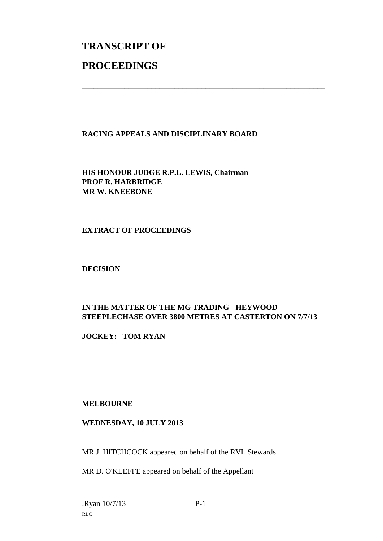# **TRANSCRIPT OF PROCEEDINGS**

## **RACING APPEALS AND DISCIPLINARY BOARD**

\_\_\_\_\_\_\_\_\_\_\_\_\_\_\_\_\_\_\_\_\_\_\_\_\_\_\_\_\_\_\_\_\_\_\_\_\_\_\_\_\_\_\_\_\_\_\_\_\_\_\_\_\_\_\_\_\_\_\_\_\_\_\_

**HIS HONOUR JUDGE R.P.L. LEWIS, Chairman PROF R. HARBRIDGE MR W. KNEEBONE**

#### **EXTRACT OF PROCEEDINGS**

#### **DECISION**

## **IN THE MATTER OF THE MG TRADING - HEYWOOD STEEPLECHASE OVER 3800 METRES AT CASTERTON ON 7/7/13**

**JOCKEY: TOM RYAN**

#### **MELBOURNE**

#### **WEDNESDAY, 10 JULY 2013**

MR J. HITCHCOCK appeared on behalf of the RVL Stewards

MR D. O'KEEFFE appeared on behalf of the Appellant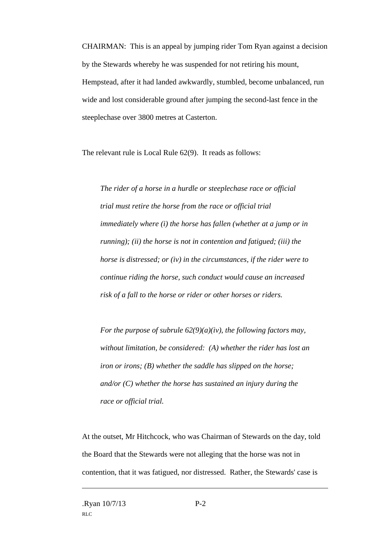CHAIRMAN: This is an appeal by jumping rider Tom Ryan against a decision by the Stewards whereby he was suspended for not retiring his mount, Hempstead, after it had landed awkwardly, stumbled, become unbalanced, run wide and lost considerable ground after jumping the second-last fence in the steeplechase over 3800 metres at Casterton.

The relevant rule is Local Rule 62(9). It reads as follows:

*The rider of a horse in a hurdle or steeplechase race or official trial must retire the horse from the race or official trial immediately where (i) the horse has fallen (whether at a jump or in running); (ii) the horse is not in contention and fatigued; (iii) the horse is distressed; or (iv) in the circumstances, if the rider were to continue riding the horse, such conduct would cause an increased risk of a fall to the horse or rider or other horses or riders.*

*For the purpose of subrule 62(9)(a)(iv), the following factors may, without limitation, be considered: (A) whether the rider has lost an iron or irons; (B) whether the saddle has slipped on the horse; and/or (C) whether the horse has sustained an injury during the race or official trial.*

At the outset, Mr Hitchcock, who was Chairman of Stewards on the day, told the Board that the Stewards were not alleging that the horse was not in contention, that it was fatigued, nor distressed. Rather, the Stewards' case is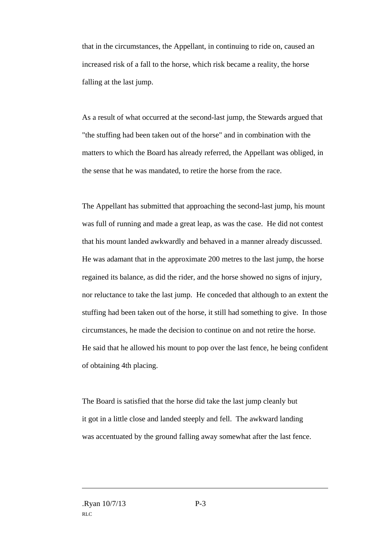that in the circumstances, the Appellant, in continuing to ride on, caused an increased risk of a fall to the horse, which risk became a reality, the horse falling at the last jump.

As a result of what occurred at the second-last jump, the Stewards argued that "the stuffing had been taken out of the horse" and in combination with the matters to which the Board has already referred, the Appellant was obliged, in the sense that he was mandated, to retire the horse from the race.

The Appellant has submitted that approaching the second-last jump, his mount was full of running and made a great leap, as was the case. He did not contest that his mount landed awkwardly and behaved in a manner already discussed. He was adamant that in the approximate 200 metres to the last jump, the horse regained its balance, as did the rider, and the horse showed no signs of injury, nor reluctance to take the last jump. He conceded that although to an extent the stuffing had been taken out of the horse, it still had something to give. In those circumstances, he made the decision to continue on and not retire the horse. He said that he allowed his mount to pop over the last fence, he being confident of obtaining 4th placing.

The Board is satisfied that the horse did take the last jump cleanly but it got in a little close and landed steeply and fell. The awkward landing was accentuated by the ground falling away somewhat after the last fence.